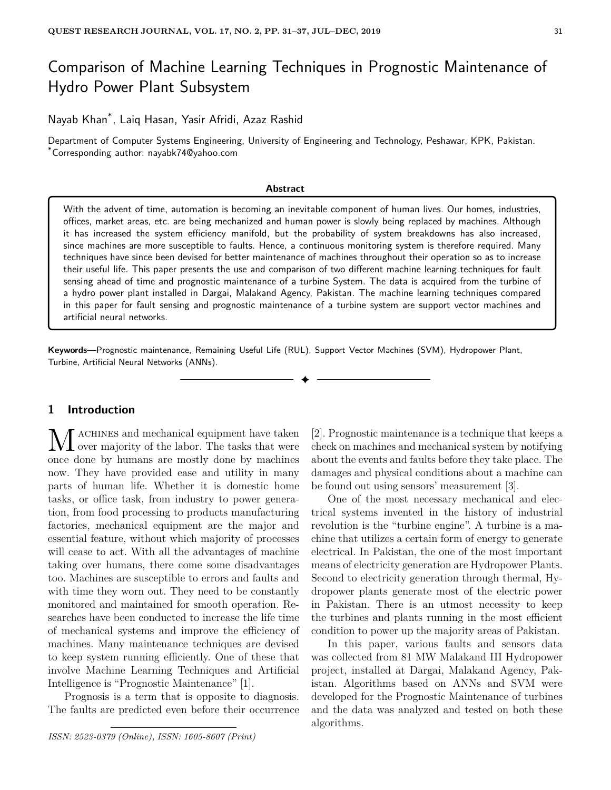# Comparison of Machine Learning Techniques in Prognostic Maintenance of Hydro Power Plant Subsystem

Nayab Khan\* , Laiq Hasan, Yasir Afridi, Azaz Rashid

Department of Computer Systems Engineering, University of Engineering and Technology, Peshawar, KPK, Pakistan. \*Corresponding author: nayabk74@yahoo.com

#### **Abstract**

With the advent of time, automation is becoming an inevitable component of human lives. Our homes, industries, offices, market areas, etc. are being mechanized and human power is slowly being replaced by machines. Although it has increased the system efficiency manifold, but the probability of system breakdowns has also increased, since machines are more susceptible to faults. Hence, a continuous monitoring system is therefore required. Many techniques have since been devised for better maintenance of machines throughout their operation so as to increase their useful life. This paper presents the use and comparison of two different machine learning techniques for fault sensing ahead of time and prognostic maintenance of a turbine System. The data is acquired from the turbine of a hydro power plant installed in Dargai, Malakand Agency, Pakistan. The machine learning techniques compared in this paper for fault sensing and prognostic maintenance of a turbine system are support vector machines and artificial neural networks.

**Keywords**—Prognostic maintenance, Remaining Useful Life (RUL), Support Vector Machines (SVM), Hydropower Plant, Turbine, Artificial Neural Networks (ANNs).

✦

# **1 Introduction**

M ACHINES and mechanical equipment have taken<br>once done by humans are mostly done by machines ACHINES and mechanical equipment have taken over majority of the labor. The tasks that were now. They have provided ease and utility in many parts of human life. Whether it is domestic home tasks, or office task, from industry to power generation, from food processing to products manufacturing factories, mechanical equipment are the major and essential feature, without which majority of processes will cease to act. With all the advantages of machine taking over humans, there come some disadvantages too. Machines are susceptible to errors and faults and with time they worn out. They need to be constantly monitored and maintained for smooth operation. Researches have been conducted to increase the life time of mechanical systems and improve the efficiency of machines. Many maintenance techniques are devised to keep system running efficiently. One of these that involve Machine Learning Techniques and Artificial Intelligence is "Prognostic Maintenance" [1].

Prognosis is a term that is opposite to diagnosis. The faults are predicted even before their occurrence

*ISSN: 2523-0379 (Online), ISSN: 1605-8607 (Print)*

[2]. Prognostic maintenance is a technique that keeps a check on machines and mechanical system by notifying about the events and faults before they take place. The damages and physical conditions about a machine can be found out using sensors' measurement [3].

One of the most necessary mechanical and electrical systems invented in the history of industrial revolution is the "turbine engine". A turbine is a machine that utilizes a certain form of energy to generate electrical. In Pakistan, the one of the most important means of electricity generation are Hydropower Plants. Second to electricity generation through thermal, Hydropower plants generate most of the electric power in Pakistan. There is an utmost necessity to keep the turbines and plants running in the most efficient condition to power up the majority areas of Pakistan.

In this paper, various faults and sensors data was collected from 81 MW Malakand III Hydropower project, installed at Dargai, Malakand Agency, Pakistan. Algorithms based on ANNs and SVM were developed for the Prognostic Maintenance of turbines and the data was analyzed and tested on both these algorithms.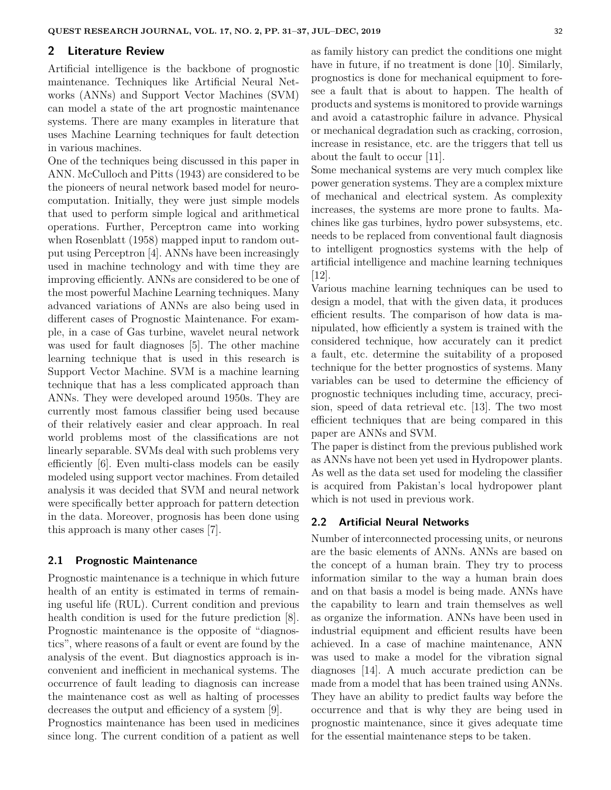#### **2 Literature Review**

Artificial intelligence is the backbone of prognostic maintenance. Techniques like Artificial Neural Networks (ANNs) and Support Vector Machines (SVM) can model a state of the art prognostic maintenance systems. There are many examples in literature that uses Machine Learning techniques for fault detection in various machines.

One of the techniques being discussed in this paper in ANN. McCulloch and Pitts (1943) are considered to be the pioneers of neural network based model for neurocomputation. Initially, they were just simple models that used to perform simple logical and arithmetical operations. Further, Perceptron came into working when Rosenblatt (1958) mapped input to random output using Perceptron [4]. ANNs have been increasingly used in machine technology and with time they are improving efficiently. ANNs are considered to be one of the most powerful Machine Learning techniques. Many advanced variations of ANNs are also being used in different cases of Prognostic Maintenance. For example, in a case of Gas turbine, wavelet neural network was used for fault diagnoses [5]. The other machine learning technique that is used in this research is Support Vector Machine. SVM is a machine learning technique that has a less complicated approach than ANNs. They were developed around 1950s. They are currently most famous classifier being used because of their relatively easier and clear approach. In real world problems most of the classifications are not linearly separable. SVMs deal with such problems very efficiently [6]. Even multi-class models can be easily modeled using support vector machines. From detailed analysis it was decided that SVM and neural network were specifically better approach for pattern detection in the data. Moreover, prognosis has been done using this approach is many other cases [7].

## **2.1 Prognostic Maintenance**

Prognostic maintenance is a technique in which future health of an entity is estimated in terms of remaining useful life (RUL). Current condition and previous health condition is used for the future prediction [8]. Prognostic maintenance is the opposite of "diagnostics", where reasons of a fault or event are found by the analysis of the event. But diagnostics approach is inconvenient and inefficient in mechanical systems. The occurrence of fault leading to diagnosis can increase the maintenance cost as well as halting of processes decreases the output and efficiency of a system [9].

Prognostics maintenance has been used in medicines since long. The current condition of a patient as well as family history can predict the conditions one might have in future, if no treatment is done [10]. Similarly, prognostics is done for mechanical equipment to foresee a fault that is about to happen. The health of products and systems is monitored to provide warnings and avoid a catastrophic failure in advance. Physical or mechanical degradation such as cracking, corrosion, increase in resistance, etc. are the triggers that tell us about the fault to occur [11].

Some mechanical systems are very much complex like power generation systems. They are a complex mixture of mechanical and electrical system. As complexity increases, the systems are more prone to faults. Machines like gas turbines, hydro power subsystems, etc. needs to be replaced from conventional fault diagnosis to intelligent prognostics systems with the help of artificial intelligence and machine learning techniques  $|12|$ .

Various machine learning techniques can be used to design a model, that with the given data, it produces efficient results. The comparison of how data is manipulated, how efficiently a system is trained with the considered technique, how accurately can it predict a fault, etc. determine the suitability of a proposed technique for the better prognostics of systems. Many variables can be used to determine the efficiency of prognostic techniques including time, accuracy, precision, speed of data retrieval etc. [13]. The two most efficient techniques that are being compared in this paper are ANNs and SVM.

The paper is distinct from the previous published work as ANNs have not been yet used in Hydropower plants. As well as the data set used for modeling the classifier is acquired from Pakistan's local hydropower plant which is not used in previous work.

## **2.2 Artificial Neural Networks**

Number of interconnected processing units, or neurons are the basic elements of ANNs. ANNs are based on the concept of a human brain. They try to process information similar to the way a human brain does and on that basis a model is being made. ANNs have the capability to learn and train themselves as well as organize the information. ANNs have been used in industrial equipment and efficient results have been achieved. In a case of machine maintenance, ANN was used to make a model for the vibration signal diagnoses [14]. A much accurate prediction can be made from a model that has been trained using ANNs. They have an ability to predict faults way before the occurrence and that is why they are being used in prognostic maintenance, since it gives adequate time for the essential maintenance steps to be taken.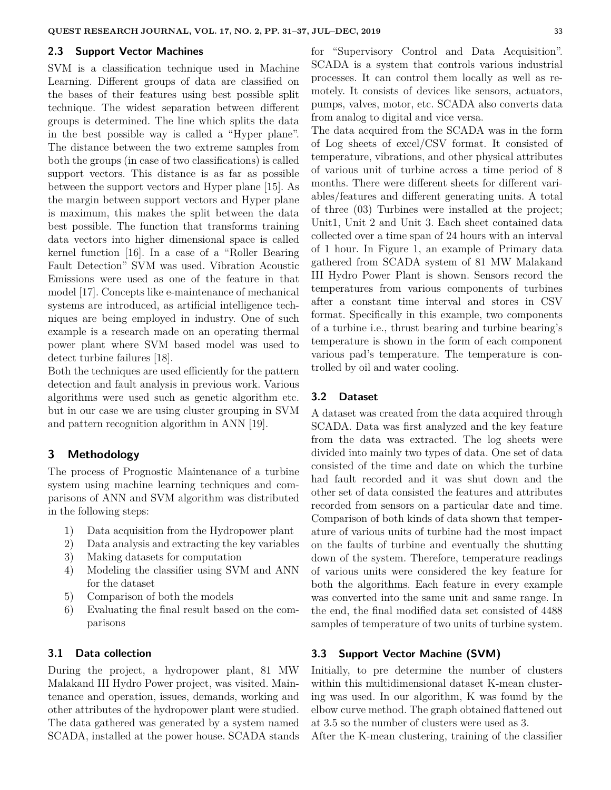#### **2.3 Support Vector Machines**

SVM is a classification technique used in Machine Learning. Different groups of data are classified on the bases of their features using best possible split technique. The widest separation between different groups is determined. The line which splits the data in the best possible way is called a "Hyper plane". The distance between the two extreme samples from both the groups (in case of two classifications) is called support vectors. This distance is as far as possible between the support vectors and Hyper plane [15]. As the margin between support vectors and Hyper plane is maximum, this makes the split between the data best possible. The function that transforms training data vectors into higher dimensional space is called kernel function [16]. In a case of a "Roller Bearing Fault Detection" SVM was used. Vibration Acoustic Emissions were used as one of the feature in that model [17]. Concepts like e-maintenance of mechanical systems are introduced, as artificial intelligence techniques are being employed in industry. One of such example is a research made on an operating thermal power plant where SVM based model was used to detect turbine failures [18].

Both the techniques are used efficiently for the pattern detection and fault analysis in previous work. Various algorithms were used such as genetic algorithm etc. but in our case we are using cluster grouping in SVM and pattern recognition algorithm in ANN [19].

# **3 Methodology**

The process of Prognostic Maintenance of a turbine system using machine learning techniques and comparisons of ANN and SVM algorithm was distributed in the following steps:

- 1) Data acquisition from the Hydropower plant
- 2) Data analysis and extracting the key variables
- 3) Making datasets for computation
- 4) Modeling the classifier using SVM and ANN for the dataset
- 5) Comparison of both the models
- 6) Evaluating the final result based on the comparisons

### **3.1 Data collection**

During the project, a hydropower plant, 81 MW Malakand III Hydro Power project, was visited. Maintenance and operation, issues, demands, working and other attributes of the hydropower plant were studied. The data gathered was generated by a system named SCADA, installed at the power house. SCADA stands for "Supervisory Control and Data Acquisition". SCADA is a system that controls various industrial processes. It can control them locally as well as remotely. It consists of devices like sensors, actuators, pumps, valves, motor, etc. SCADA also converts data from analog to digital and vice versa.

The data acquired from the SCADA was in the form of Log sheets of excel/CSV format. It consisted of temperature, vibrations, and other physical attributes of various unit of turbine across a time period of 8 months. There were different sheets for different variables/features and different generating units. A total of three (03) Turbines were installed at the project; Unit1, Unit 2 and Unit 3. Each sheet contained data collected over a time span of 24 hours with an interval of 1 hour. In Figure 1, an example of Primary data gathered from SCADA system of 81 MW Malakand III Hydro Power Plant is shown. Sensors record the temperatures from various components of turbines after a constant time interval and stores in CSV format. Specifically in this example, two components of a turbine i.e., thrust bearing and turbine bearing's temperature is shown in the form of each component various pad's temperature. The temperature is controlled by oil and water cooling.

#### **3.2 Dataset**

A dataset was created from the data acquired through SCADA. Data was first analyzed and the key feature from the data was extracted. The log sheets were divided into mainly two types of data. One set of data consisted of the time and date on which the turbine had fault recorded and it was shut down and the other set of data consisted the features and attributes recorded from sensors on a particular date and time. Comparison of both kinds of data shown that temperature of various units of turbine had the most impact on the faults of turbine and eventually the shutting down of the system. Therefore, temperature readings of various units were considered the key feature for both the algorithms. Each feature in every example was converted into the same unit and same range. In the end, the final modified data set consisted of 4488 samples of temperature of two units of turbine system.

# **3.3 Support Vector Machine (SVM)**

Initially, to pre determine the number of clusters within this multidimensional dataset K-mean clustering was used. In our algorithm, K was found by the elbow curve method. The graph obtained flattened out at 3.5 so the number of clusters were used as 3.

After the K-mean clustering, training of the classifier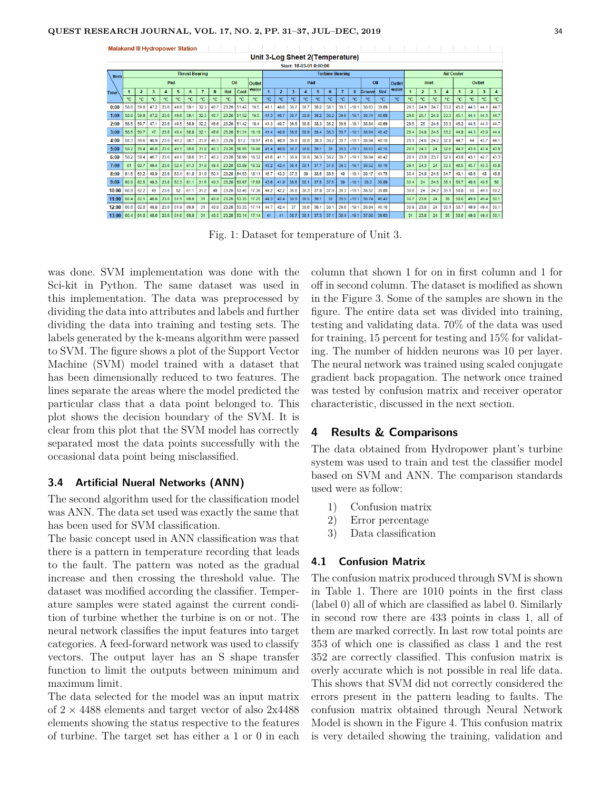| <b>Malakand III Hydropower Station</b> |                                 |                |      |      |      |              |      |                        |            |       |             |               |                |                   |      |        |      |      |         |        |       |       |      |      |      |      |      |      |      |      |
|----------------------------------------|---------------------------------|----------------|------|------|------|--------------|------|------------------------|------------|-------|-------------|---------------|----------------|-------------------|------|--------|------|------|---------|--------|-------|-------|------|------|------|------|------|------|------|------|
|                                        | Unit 3-Log Sheet 2(Temperature) |                |      |      |      |              |      |                        |            |       |             |               |                |                   |      |        |      |      |         |        |       |       |      |      |      |      |      |      |      |      |
|                                        | Start: 18-03-01 0:00:00         |                |      |      |      |              |      |                        |            |       |             |               |                |                   |      |        |      |      |         |        |       |       |      |      |      |      |      |      |      |      |
| Item                                   | <b>Thrust Bearing</b>           |                |      |      |      |              |      | <b>Turbine Bearing</b> |            |       |             |               |                | <b>Air Cooler</b> |      |        |      |      |         |        |       |       |      |      |      |      |      |      |      |      |
|                                        | Pad<br>Oil<br><b>Outlet</b>     |                |      |      |      | Pad          |      |                        |            |       |             | Oil<br>Outlet | Inlet          |                   |      | Outlet |      |      |         |        |       |       |      |      |      |      |      |      |      |      |
| <b>Time</b>                            |                                 | $\overline{2}$ | 3    | 4    | 5    | 6            |      | 8                      | <b>Hot</b> | Cool  | water       |               | $\overline{2}$ | 3                 | 4    | 5      | 6    |      | 8       | Groove | Slot  | water |      | 2    | 3    | 4    |      | 2    | 3    | 4    |
|                                        | ۰c                              | ۰c             | ۰c   | ۰c   | ۰c   | $^{\circ}$ C | ۰c   | ۰c                     | ۰c         | ۰c    | °C          | °C            | $^{\circ}$ C   | °C                | ۰c   | °C     | ۰c   | ۰c   | ۰c      | °C     | °C    | °C    | ۰c   | ۰c   | °C   | ۰c   | ۰c   | ۰c   | °C   | °C   |
| 0:00                                   | 58.6                            | 59.8           | 47.2 | 23.6 | 49.6 | 59.1         | 32.3 | 46.7                   | 23.26      | 51.42 | 19.5        | 41.1          | 40.6           | 36.7              | 38.7 | 38.2   | 38.1 | 39.5 | $-19.1$ | 38.63  | 39.89 |       | 29.3 | 24.9 | 24.7 | 33.2 | 45.2 | 44.5 | 44.1 | 44.7 |
| 1:00                                   | 58.6                            | 59.9           | 47.2 | 23.6 | 49.6 | 59.1         | 32.3 | 46.7                   | 23.26      | 51.52 | 19.5        | 41.3          | 40.7           | 36.7              | 38.8 | 38.2   | 38.2 | 39.6 | $-19.1$ | 38.74  | 40.69 |       | 29.6 | 25.1 | 24.8 | 33.3 | 45.1 | 44.4 | 44.1 | 44.7 |
| 2:00                                   | 58.5                            | 59.7           | 47.1 | 23.6 | 49.5 | 58.9         | 32.2 | 46.6                   | 23.26      | 51.42 | 19.4        | 41.3          | 40.7           | 36.8              | 38.8 | 38.3   | 38.2 | 39.6 | $-19.1$ | 38.84  | 40.69 |       | 29.5 | 25   | 24.6 | 33.3 | 45.2 | 44.5 | 44.1 | 44.7 |
| 3:00                                   | 58.5                            | 59.7           | 47   | 23.6 | 49.4 | 58.9         | 32.1 | 46.6                   | 23.26      | 51.31 | 19.18       | 41.4          | 40.9           | 36.8              | 38.8 | 38.4   | 38.3 | 39.7 | $-19.1$ | 38.84  | 40.42 |       | 29.4 | 24.9 | 24.5 | 33.2 | 44.9 | 44.3 | 43.9 | 44.4 |
| 4:00                                   | 58.3                            | 59.6           | 46.9 | 23.6 | 49.3 | 58.7         | 31.9 | 46.5                   | 23.26      | 51.2  | 18.97       | 41.6          | 40.9           | 36.8              | 38.8 | 38.3   | 38.2 | 39.7 | $-19.1$ | 38.84  | 40.16 |       | 29.1 | 24.6 | 24.2 | 32.8 | 44.7 | 44   | 43.7 | 44.1 |
| 5:00                                   | 58.2                            | 59.4           | 46.8 | 23.6 | 49.1 | 58.6         | 31.8 | 46.3                   | 23.26      | 50.99 | 18.86       | 41.4          | 40.8           | 36.7              | 38.6 | 38.1   | 38   | 39.5 | $-19.1$ | 38.63  | 40.16 |       | 28.9 | 24.3 | 24   | 32.6 | 44.3 | 43.8 | 43.4 | 43.9 |
| 6:00                                   | 58.2                            | 59.4           | 46.7 | 23.6 | 49.1 | 58.6         | 31.7 | 46.2                   | 23.26      | 50.99 | 18.32       | 41.6          | 41.1           | 36.9              | 38.8 | 38.3   | 38.2 | 39.7 | $-19.1$ | 38.84  | 40.42 |       | 28.1 | 23.9 | 23.7 | 32.1 | 43.8 | 43.1 | 42.7 | 43.3 |
| 7:00                                   | 61                              | 62.7           | 49.4 | 23.6 | 52.4 | 61.3         | 31.8 | 49.4                   | 23.26      | 53.89 | 18.32       | 45.2          | 42.4           | 36.4              | 38.1 | 37.7   | 37.6 | 39.3 | $-19.1$ | 38.52  | 40.16 |       | 29.1 | 24.3 | 24   | 33.5 | 46.5 | 45.7 | 45.3 | 45.8 |
| 8:00                                   | 61.5                            | 63.2           | 49.9 | 23.6 | 53.1 | 61.8         | 31.9 | 50.1                   | 23.26      | 54.53 | 18.11       | 45.7          | 43.3           | 37.3              | 39   | 38.5   | 38.5 | 40   | $-19.1$ | 39.17  | 41.75 |       | 30.4 | 24.9 | 24.5 | 34.7 | 49.1 | 48.6 | 48   | 48.5 |
| 9:00                                   | 60.9                            | 62.5           | 49.3 | 23.6 | 52.3 | 61.1         | 31.5 | 49.3                   | 23.26      | 53.67 | 17.68       | 43.6          | 41.9           | 36.6              | 38.1 | 37.5   | 37.5 | 39   | $-19.1$ | 38.2   | 39.89 |       | 30.4 | 24   | 24.5 | 35.1 | 50.7 | 49.8 | 49.5 | 50   |
| 10:00                                  | 60.8                            | 62.2           | 49   | 23.6 | 52   | 61.1         | 31.2 | 49                     | 23.26      | 53.46 | 17.36       | 44.2          | 42.2           | 36.8              | 38.3 | 37.9   | 37.9 | 39.3 | $-19.1$ | 38.52  | 39.89 |       | 30.8 | 24   | 24.2 | 35.1 | 50.8 | 50   | 49.5 | 50.2 |
| 11:00                                  | 60.4                            | 62.1           | 48.8 | 23.6 | 51.9 | 60.8         | 31   | 48.8                   | 23.26      | 53.35 | 17.25       | 44.3          | 42.4           | 36.9              | 38.5 | 38.1   | 38   | 39.5 | $-19.1$ | 38.74  | 40.42 |       | 30.7 | 23.8 | 24   | 35   | 50.6 | 49.8 | 49.4 | 50.1 |
| 12:00                                  | 60.6                            | 62.8           | 48.8 | 23.6 | 51.9 | 60.9         | 31   | 48.8                   | 23.26      | 53.35 | 17.14       | 44.7          | 42.4           | 37                | 38.6 | 38.1   | 38.1 | 39.6 | $-19.1$ | 38.84  | 40.16 |       | 30.9 | 23.8 | 24   | 35.1 | 50.7 | 49.9 | 49.4 | 50.1 |
| 13:00                                  | 60.4                            | 61.8           | 48.6 | 23.6 | 51.6 | 60.8         | 31   | 48.5                   | 23.26      |       | 53.14 17.14 | 41            | 41             | 36.7              | 38.1 | 37.3   | 37.1 | 38.4 | $-19.1$ | 37.88  | 39.63 |       | 31   | 23.8 | 24   | 35   | 50.6 | 49.8 | 49.4 | 50.1 |

Fig. 1: Dataset for temperature of Unit 3.

was done. SVM implementation was done with the Sci-kit in Python. The same dataset was used in this implementation. The data was preprocessed by dividing the data into attributes and labels and further dividing the data into training and testing sets. The labels generated by the k-means algorithm were passed to SVM. The figure shows a plot of the Support Vector Machine (SVM) model trained with a dataset that has been dimensionally reduced to two features. The lines separate the areas where the model predicted the particular class that a data point belonged to. This plot shows the decision boundary of the SVM. It is clear from this plot that the SVM model has correctly separated most the data points successfully with the occasional data point being misclassified.

## **3.4 Artificial Nueral Networks (ANN)**

The second algorithm used for the classification model was ANN. The data set used was exactly the same that has been used for SVM classification.

The basic concept used in ANN classification was that there is a pattern in temperature recording that leads to the fault. The pattern was noted as the gradual increase and then crossing the threshold value. The dataset was modified according the classifier. Temperature samples were stated against the current condition of turbine whether the turbine is on or not. The neural network classifies the input features into target categories. A feed-forward network was used to classify vectors. The output layer has an S shape transfer function to limit the outputs between minimum and maximum limit.

The data selected for the model was an input matrix of  $2 \times 4488$  elements and target vector of also  $2 \times 4488$ elements showing the status respective to the features of turbine. The target set has either a 1 or 0 in each column that shown 1 for on in first column and 1 for off in second column. The dataset is modified as shown in the Figure 3. Some of the samples are shown in the figure. The entire data set was divided into training, testing and validating data. 70% of the data was used for training, 15 percent for testing and 15% for validating. The number of hidden neurons was 10 per layer. The neural network was trained using scaled conjugate gradient back propagation. The network once trained was tested by confusion matrix and receiver operator characteristic, discussed in the next section.

## **4 Results & Comparisons**

The data obtained from Hydropower plant's turbine system was used to train and test the classifier model based on SVM and ANN. The comparison standards used were as follow:

- 1) Confusion matrix
- 2) Error percentage
- 3) Data classification

## **4.1 Confusion Matrix**

The confusion matrix produced through SVM is shown in Table 1. There are 1010 points in the first class (label 0) all of which are classified as label 0. Similarly in second row there are 433 points in class 1, all of them are marked correctly. In last row total points are 353 of which one is classified as class 1 and the rest 352 are correctly classified. This confusion matrix is overly accurate which is not possible in real life data. This shows that SVM did not correctly considered the errors present in the pattern leading to faults. The confusion matrix obtained through Neural Network Model is shown in the Figure 4. This confusion matrix is very detailed showing the training, validation and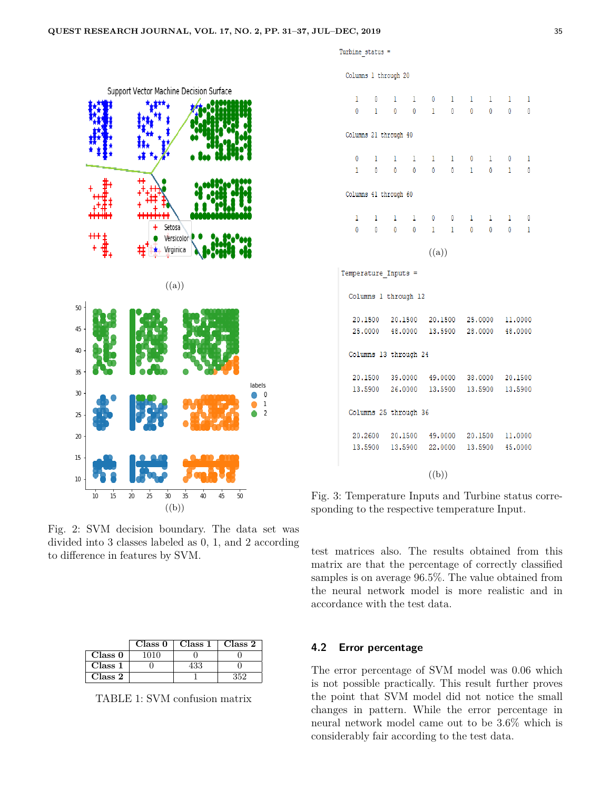Turbine status =

Columns 1 through 20

|          |                |                | Support Vector Machine Decision Surface |                |                                   |                |                |    |                |                          |
|----------|----------------|----------------|-----------------------------------------|----------------|-----------------------------------|----------------|----------------|----|----------------|--------------------------|
|          |                |                |                                         |                |                                   |                |                |    |                |                          |
|          |                |                |                                         |                | Setosa<br>Versicolor<br>Virginica |                |                |    |                |                          |
| 50       |                |                |                                         |                | ((a))                             |                |                |    |                |                          |
| 45<br>40 |                |                |                                         |                |                                   |                |                |    |                |                          |
| 35       |                |                |                                         |                |                                   |                |                |    |                |                          |
| 30       |                |                |                                         |                |                                   |                |                |    |                | labels<br>0<br>$\,$ $\,$ |
| 25       |                |                |                                         |                |                                   |                |                |    |                | $\overline{c}$           |
| 20       |                |                |                                         |                |                                   |                |                |    |                |                          |
| 15<br>10 |                |                |                                         |                |                                   |                |                |    |                |                          |
|          | $\frac{1}{10}$ | $\frac{1}{15}$ | $\frac{1}{20}$                          | $\frac{1}{25}$ | $\frac{1}{30}$<br>((b))           | $\frac{1}{35}$ | $\frac{1}{40}$ | 45 | $\frac{1}{50}$ |                          |

Fig. 2: SVM decision boundary. The data set was divided into 3 classes labeled as 0, 1, and 2 according to difference in features by SVM.

|         | Class 0 | Class 1   Class 2 |  |
|---------|---------|-------------------|--|
| Class 0 |         |                   |  |
| Class 1 |         |                   |  |
| Class 2 |         |                   |  |

TABLE 1: SVM confusion matrix

| 1<br>0                | $\overline{0}$<br>$\mathbf{1}$ | $\mathbf{1}$                            | $\mathbf{1}$<br>$0\qquad 0$ | $\overline{0}$<br>$\mathbf{1}$  | $\mathbf{1}$<br>$\overline{0}$ | $\mathbf{1}$<br>$\overline{0}$  | $\mathbf{1}$<br>$\overline{0}$  | $\qquad \qquad 1$<br>$\overline{0}$ | 1<br>$\mathbf{0}$        |  |  |  |
|-----------------------|--------------------------------|-----------------------------------------|-----------------------------|---------------------------------|--------------------------------|---------------------------------|---------------------------------|-------------------------------------|--------------------------|--|--|--|
| Columns 21 through 40 |                                |                                         |                             |                                 |                                |                                 |                                 |                                     |                          |  |  |  |
| 0                     | $\mathbf{1}$                   | $\mathbf{1}$                            | $\mathbf{1}$                | $\mathbf{1}$                    |                                | $1 \qquad 0$                    | 1 0                             |                                     | 1                        |  |  |  |
|                       |                                | 1 0 0 0 0 0 1 0 1                       |                             |                                 |                                |                                 |                                 |                                     | $\overline{\phantom{0}}$ |  |  |  |
| Columns 41 through 60 |                                |                                         |                             |                                 |                                |                                 |                                 |                                     |                          |  |  |  |
| 1                     | 1                              | 1                                       | $\mathbf{1}$                | $\begin{matrix}0&0\end{matrix}$ |                                | $\sim$ 1                        |                                 | $1 \quad 1$                         | 0                        |  |  |  |
| $^{\circ}$            | $\overline{0}$                 |                                         | $0\qquad 0$                 |                                 | $1 \quad 1$                    | $\overline{\phantom{0}}$        | $\begin{matrix}0&0\end{matrix}$ |                                     | $\mathbf{1}$             |  |  |  |
|                       |                                |                                         |                             | ((a))                           |                                |                                 |                                 |                                     |                          |  |  |  |
|                       | Temperature Inputs =           |                                         |                             |                                 |                                |                                 |                                 |                                     |                          |  |  |  |
|                       | Columns 1 through 12           |                                         |                             |                                 |                                |                                 |                                 |                                     |                          |  |  |  |
|                       |                                | 20.1500 20.1500 20.1500 25.0000 11.0000 |                             |                                 |                                |                                 |                                 |                                     |                          |  |  |  |
|                       |                                | 25,0000 48,0000 13,5900 28,0000 48,0000 |                             |                                 |                                |                                 |                                 |                                     |                          |  |  |  |
|                       |                                | Columns 13 through 24                   |                             |                                 |                                |                                 |                                 |                                     |                          |  |  |  |
|                       |                                | 20.1500 39.0000 49.0000 38.0000 20.1500 |                             |                                 |                                |                                 |                                 |                                     |                          |  |  |  |
|                       |                                | 13.5900 26.0000 13.5900 13.5900 13.5900 |                             |                                 |                                |                                 |                                 |                                     |                          |  |  |  |
|                       |                                | Columns 25 through 36                   |                             |                                 |                                |                                 |                                 |                                     |                          |  |  |  |
|                       | 20,2600                        |                                         |                             |                                 |                                | 20.1500 49.0000 20.1500 11.0000 |                                 |                                     |                          |  |  |  |
|                       | 13.5900                        | 13,5900                                 |                             | 22,0000                         |                                |                                 |                                 | 13,5900 45,0000                     |                          |  |  |  |
|                       |                                |                                         |                             | ((b))                           |                                |                                 |                                 |                                     |                          |  |  |  |

Fig. 3: Temperature Inputs and Turbine status corresponding to the respective temperature Input.

test matrices also. The results obtained from this matrix are that the percentage of correctly classified samples is on average 96.5%. The value obtained from the neural network model is more realistic and in accordance with the test data.

# **4.2 Error percentage**

The error percentage of SVM model was 0.06 which is not possible practically. This result further proves the point that SVM model did not notice the small changes in pattern. While the error percentage in neural network model came out to be 3.6% which is considerably fair according to the test data.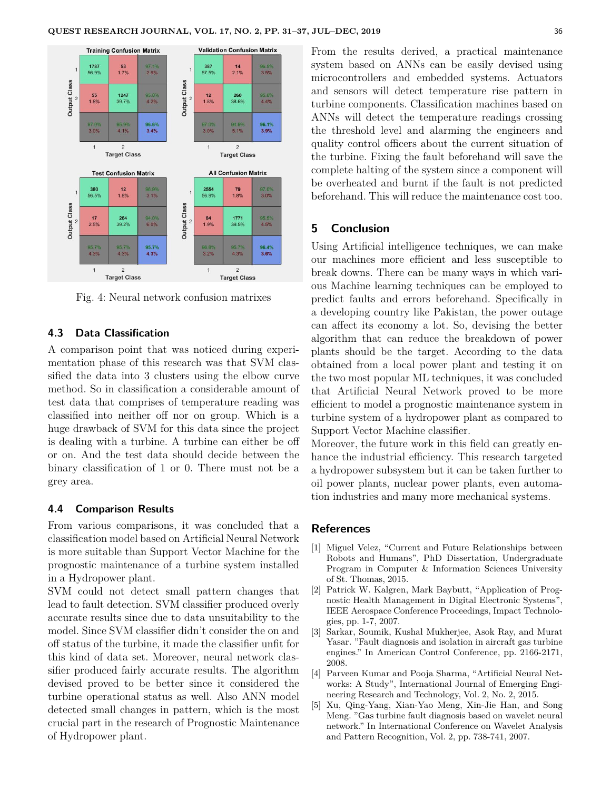

Fig. 4: Neural network confusion matrixes

# **4.3 Data Classification**

A comparison point that was noticed during experimentation phase of this research was that SVM classified the data into 3 clusters using the elbow curve method. So in classification a considerable amount of test data that comprises of temperature reading was classified into neither off nor on group. Which is a huge drawback of SVM for this data since the project is dealing with a turbine. A turbine can either be off or on. And the test data should decide between the binary classification of 1 or 0. There must not be a grey area.

## **4.4 Comparison Results**

From various comparisons, it was concluded that a classification model based on Artificial Neural Network is more suitable than Support Vector Machine for the prognostic maintenance of a turbine system installed in a Hydropower plant.

SVM could not detect small pattern changes that lead to fault detection. SVM classifier produced overly accurate results since due to data unsuitability to the model. Since SVM classifier didn't consider the on and off status of the turbine, it made the classifier unfit for this kind of data set. Moreover, neural network classifier produced fairly accurate results. The algorithm devised proved to be better since it considered the turbine operational status as well. Also ANN model detected small changes in pattern, which is the most crucial part in the research of Prognostic Maintenance of Hydropower plant.

From the results derived, a practical maintenance system based on ANNs can be easily devised using microcontrollers and embedded systems. Actuators and sensors will detect temperature rise pattern in turbine components. Classification machines based on ANNs will detect the temperature readings crossing the threshold level and alarming the engineers and quality control officers about the current situation of the turbine. Fixing the fault beforehand will save the complete halting of the system since a component will be overheated and burnt if the fault is not predicted beforehand. This will reduce the maintenance cost too.

## **5 Conclusion**

Using Artificial intelligence techniques, we can make our machines more efficient and less susceptible to break downs. There can be many ways in which various Machine learning techniques can be employed to predict faults and errors beforehand. Specifically in a developing country like Pakistan, the power outage can affect its economy a lot. So, devising the better algorithm that can reduce the breakdown of power plants should be the target. According to the data obtained from a local power plant and testing it on the two most popular ML techniques, it was concluded that Artificial Neural Network proved to be more efficient to model a prognostic maintenance system in turbine system of a hydropower plant as compared to Support Vector Machine classifier.

Moreover, the future work in this field can greatly enhance the industrial efficiency. This research targeted a hydropower subsystem but it can be taken further to oil power plants, nuclear power plants, even automation industries and many more mechanical systems.

#### **References**

- [1] Miguel Velez, "Current and Future Relationships between Robots and Humans", PhD Dissertation, Undergraduate Program in Computer & Information Sciences University of St. Thomas, 2015.
- [2] Patrick W. Kalgren, Mark Baybutt, "Application of Prognostic Health Management in Digital Electronic Systems", IEEE Aerospace Conference Proceedings, Impact Technologies, pp. 1-7, 2007.
- [3] Sarkar, Soumik, Kushal Mukherjee, Asok Ray, and Murat Yasar. "Fault diagnosis and isolation in aircraft gas turbine engines." In American Control Conference, pp. 2166-2171, 2008.
- [4] Parveen Kumar and Pooja Sharma, "Artificial Neural Networks: A Study", International Journal of Emerging Engineering Research and Technology, Vol. 2, No. 2, 2015.
- [5] Xu, Qing-Yang, Xian-Yao Meng, Xin-Jie Han, and Song Meng. "Gas turbine fault diagnosis based on wavelet neural network." In International Conference on Wavelet Analysis and Pattern Recognition, Vol. 2, pp. 738-741, 2007.